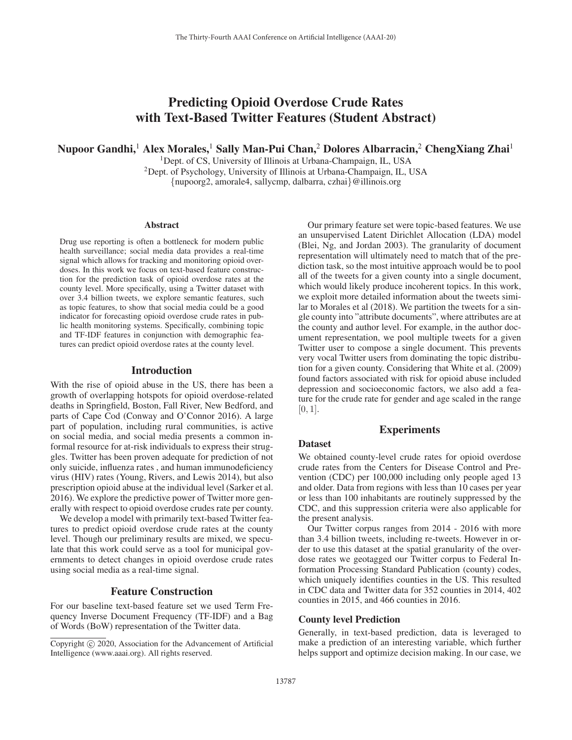# Predicting Opioid Overdose Crude Rates with Text-Based Twitter Features (Student Abstract)

Nupoor Gandhi,<sup>1</sup> Alex Morales,<sup>1</sup> Sally Man-Pui Chan,<sup>2</sup> Dolores Albarracin,<sup>2</sup> ChengXiang Zhai<sup>1</sup>

<sup>1</sup>Dept. of CS, University of Illinois at Urbana-Champaign, IL, USA 2Dept. of Psychology, University of Illinois at Urbana-Champaign, IL, USA {nupoorg2, amorale4, sallycmp, dalbarra, czhai}@illinois.org

#### Abstract

Drug use reporting is often a bottleneck for modern public health surveillance; social media data provides a real-time signal which allows for tracking and monitoring opioid overdoses. In this work we focus on text-based feature construction for the prediction task of opioid overdose rates at the county level. More specifically, using a Twitter dataset with over 3.4 billion tweets, we explore semantic features, such as topic features, to show that social media could be a good indicator for forecasting opioid overdose crude rates in public health monitoring systems. Specifically, combining topic and TF-IDF features in conjunction with demographic features can predict opioid overdose rates at the county level.

### Introduction

With the rise of opioid abuse in the US, there has been a growth of overlapping hotspots for opioid overdose-related deaths in Springfield, Boston, Fall River, New Bedford, and parts of Cape Cod (Conway and O'Connor 2016). A large part of population, including rural communities, is active on social media, and social media presents a common informal resource for at-risk individuals to express their struggles. Twitter has been proven adequate for prediction of not only suicide, influenza rates , and human immunodeficiency virus (HIV) rates (Young, Rivers, and Lewis 2014), but also prescription opioid abuse at the individual level (Sarker et al. 2016). We explore the predictive power of Twitter more generally with respect to opioid overdose crudes rate per county.

We develop a model with primarily text-based Twitter features to predict opioid overdose crude rates at the county level. Though our preliminary results are mixed, we speculate that this work could serve as a tool for municipal governments to detect changes in opioid overdose crude rates using social media as a real-time signal.

### Feature Construction

For our baseline text-based feature set we used Term Frequency Inverse Document Frequency (TF-IDF) and a Bag of Words (BoW) representation of the Twitter data.

Our primary feature set were topic-based features. We use an unsupervised Latent Dirichlet Allocation (LDA) model (Blei, Ng, and Jordan 2003). The granularity of document representation will ultimately need to match that of the prediction task, so the most intuitive approach would be to pool all of the tweets for a given county into a single document, which would likely produce incoherent topics. In this work, we exploit more detailed information about the tweets similar to Morales et al (2018). We partition the tweets for a single county into "attribute documents", where attributes are at the county and author level. For example, in the author document representation, we pool multiple tweets for a given Twitter user to compose a single document. This prevents very vocal Twitter users from dominating the topic distribution for a given county. Considering that White et al. (2009) found factors associated with risk for opioid abuse included depression and socioeconomic factors, we also add a feature for the crude rate for gender and age scaled in the range  $[0, 1]$ .

# Experiments

#### Dataset

We obtained county-level crude rates for opioid overdose crude rates from the Centers for Disease Control and Prevention (CDC) per 100,000 including only people aged 13 and older. Data from regions with less than 10 cases per year or less than 100 inhabitants are routinely suppressed by the CDC, and this suppression criteria were also applicable for the present analysis.

Our Twitter corpus ranges from 2014 - 2016 with more than 3.4 billion tweets, including re-tweets. However in order to use this dataset at the spatial granularity of the overdose rates we geotagged our Twitter corpus to Federal Information Processing Standard Publication (county) codes, which uniquely identifies counties in the US. This resulted in CDC data and Twitter data for 352 counties in 2014, 402 counties in 2015, and 466 counties in 2016.

### County level Prediction

Generally, in text-based prediction, data is leveraged to make a prediction of an interesting variable, which further helps support and optimize decision making. In our case, we

Copyright  $\odot$  2020, Association for the Advancement of Artificial Intelligence (www.aaai.org). All rights reserved.